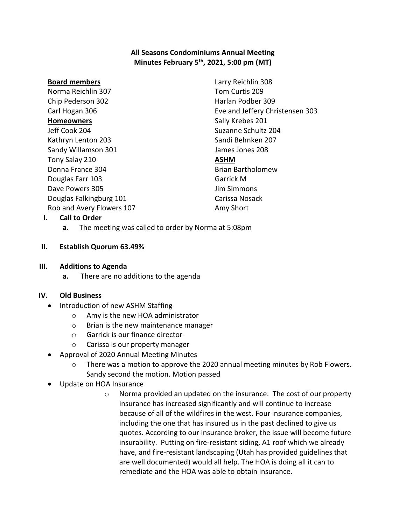# **All Seasons Condominiums Annual Meeting Minutes February 5th , 2021, 5:00 pm (MT)**

#### **Board members**

Norma Reichlin 307 Chip Pederson 302 Carl Hogan 306 **Homeowners** Jeff Cook 204 Kathryn Lenton 203 Sandy Willamson 301 Tony Salay 210 Donna France 304 Douglas Farr 103 Dave Powers 305 Douglas Falkingburg 101 Rob and Avery Flowers 107 Larry Reichlin 308 Tom Curtis 209 Harlan Podber 309 Eve and Jeffery Christensen 303 Sally Krebes 201 Suzanne Schultz 204 Sandi Behnken 207 James Jones 208 **ASHM** Brian Bartholomew Garrick M Jim Simmons Carissa Nosack Amy Short

### **I. Call to Order**

**a.** The meeting was called to order by Norma at 5:08pm

### **II. Establish Quorum 63.49%**

#### **III. Additions to Agenda**

**a.** There are no additions to the agenda

### **IV. Old Business**

- Introduction of new ASHM Staffing
	- o Amy is the new HOA administrator
	- o Brian is the new maintenance manager
	- o Garrick is our finance director
	- o Carissa is our property manager
- Approval of 2020 Annual Meeting Minutes
	- o There was a motion to approve the 2020 annual meeting minutes by Rob Flowers. Sandy second the motion. Motion passed
- Update on HOA Insurance
	- o Norma provided an updated on the insurance. The cost of our property insurance has increased significantly and will continue to increase because of all of the wildfires in the west. Four insurance companies, including the one that has insured us in the past declined to give us quotes. According to our insurance broker, the issue will become future insurability. Putting on fire-resistant siding, A1 roof which we already have, and fire-resistant landscaping (Utah has provided guidelines that are well documented) would all help. The HOA is doing all it can to remediate and the HOA was able to obtain insurance.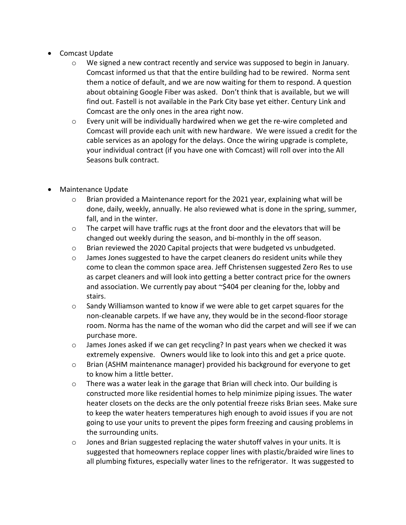- Comcast Update
	- o We signed a new contract recently and service was supposed to begin in January. Comcast informed us that that the entire building had to be rewired. Norma sent them a notice of default, and we are now waiting for them to respond. A question about obtaining Google Fiber was asked. Don't think that is available, but we will find out. Fastell is not available in the Park City base yet either. Century Link and Comcast are the only ones in the area right now.
	- $\circ$  Every unit will be individually hardwired when we get the re-wire completed and Comcast will provide each unit with new hardware. We were issued a credit for the cable services as an apology for the delays. Once the wiring upgrade is complete, your individual contract (if you have one with Comcast) will roll over into the All Seasons bulk contract.
- Maintenance Update
	- $\circ$  Brian provided a Maintenance report for the 2021 year, explaining what will be done, daily, weekly, annually. He also reviewed what is done in the spring, summer, fall, and in the winter.
	- $\circ$  The carpet will have traffic rugs at the front door and the elevators that will be changed out weekly during the season, and bi-monthly in the off season.
	- o Brian reviewed the 2020 Capital projects that were budgeted vs unbudgeted.
	- $\circ$  James Jones suggested to have the carpet cleaners do resident units while they come to clean the common space area. Jeff Christensen suggested Zero Res to use as carpet cleaners and will look into getting a better contract price for the owners and association. We currently pay about ~\$404 per cleaning for the, lobby and stairs.
	- o Sandy Williamson wanted to know if we were able to get carpet squares for the non-cleanable carpets. If we have any, they would be in the second-floor storage room. Norma has the name of the woman who did the carpet and will see if we can purchase more.
	- $\circ$  James Jones asked if we can get recycling? In past years when we checked it was extremely expensive. Owners would like to look into this and get a price quote.
	- o Brian (ASHM maintenance manager) provided his background for everyone to get to know him a little better.
	- o There was a water leak in the garage that Brian will check into. Our building is constructed more like residential homes to help minimize piping issues. The water heater closets on the decks are the only potential freeze risks Brian sees. Make sure to keep the water heaters temperatures high enough to avoid issues if you are not going to use your units to prevent the pipes form freezing and causing problems in the surrounding units.
	- $\circ$  Jones and Brian suggested replacing the water shutoff valves in your units. It is suggested that homeowners replace copper lines with plastic/braided wire lines to all plumbing fixtures, especially water lines to the refrigerator. It was suggested to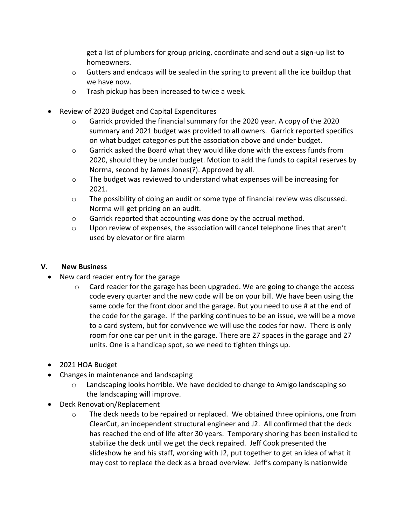get a list of plumbers for group pricing, coordinate and send out a sign-up list to homeowners.

- $\circ$  Gutters and endcaps will be sealed in the spring to prevent all the ice buildup that we have now.
- o Trash pickup has been increased to twice a week.
- Review of 2020 Budget and Capital Expenditures
	- $\circ$  Garrick provided the financial summary for the 2020 year. A copy of the 2020 summary and 2021 budget was provided to all owners. Garrick reported specifics on what budget categories put the association above and under budget.
	- $\circ$  Garrick asked the Board what they would like done with the excess funds from 2020, should they be under budget. Motion to add the funds to capital reserves by Norma, second by James Jones(?). Approved by all.
	- $\circ$  The budget was reviewed to understand what expenses will be increasing for 2021.
	- $\circ$  The possibility of doing an audit or some type of financial review was discussed. Norma will get pricing on an audit.
	- o Garrick reported that accounting was done by the accrual method.
	- $\circ$  Upon review of expenses, the association will cancel telephone lines that aren't used by elevator or fire alarm

# **V. New Business**

- New card reader entry for the garage
	- Card reader for the garage has been upgraded. We are going to change the access code every quarter and the new code will be on your bill. We have been using the same code for the front door and the garage. But you need to use # at the end of the code for the garage. If the parking continues to be an issue, we will be a move to a card system, but for convivence we will use the codes for now. There is only room for one car per unit in the garage. There are 27 spaces in the garage and 27 units. One is a handicap spot, so we need to tighten things up.
- 2021 HOA Budget
- Changes in maintenance and landscaping
	- Landscaping looks horrible. We have decided to change to Amigo landscaping so the landscaping will improve.
- Deck Renovation/Replacement
	- $\circ$  The deck needs to be repaired or replaced. We obtained three opinions, one from ClearCut, an independent structural engineer and J2. All confirmed that the deck has reached the end of life after 30 years. Temporary shoring has been installed to stabilize the deck until we get the deck repaired. Jeff Cook presented the slideshow he and his staff, working with J2, put together to get an idea of what it may cost to replace the deck as a broad overview. Jeff's company is nationwide